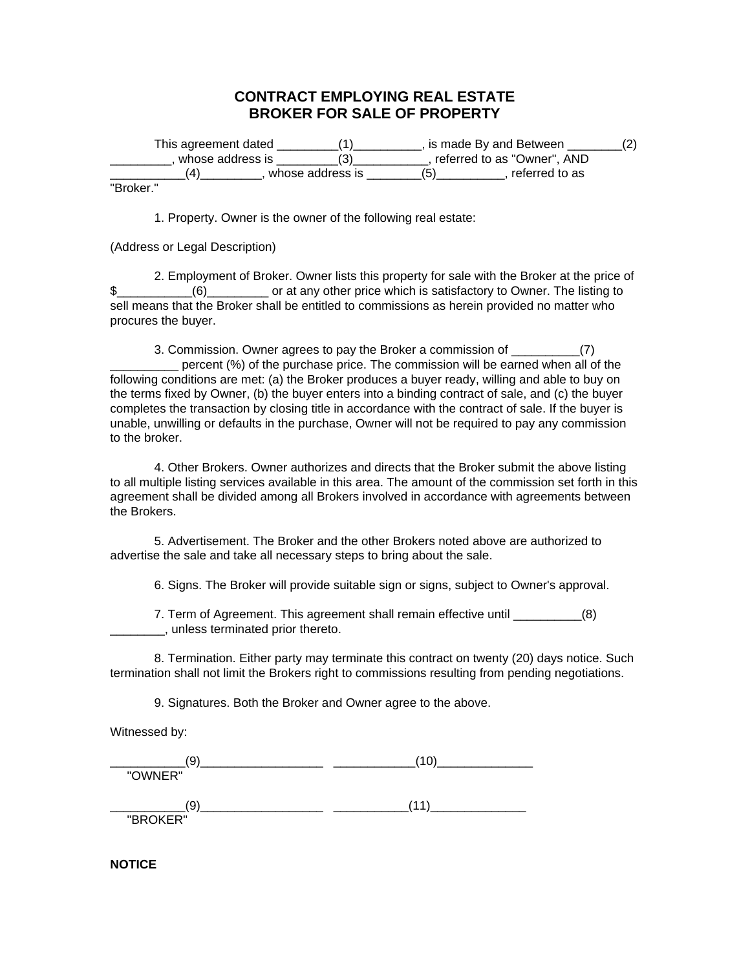## **CONTRACT EMPLOYING REAL ESTATE BROKER FOR SALE OF PROPERTY**

| This agreement dated |                  | is made By and Between        |  |
|----------------------|------------------|-------------------------------|--|
| . whose address is . |                  | , referred to as "Owner", AND |  |
|                      | whose address is | referred to as                |  |
| $\blacksquare$       |                  |                               |  |

"Broker."

1. Property. Owner is the owner of the following real estate:

(Address or Legal Description)

2. Employment of Broker. Owner lists this property for sale with the Broker at the price of \$\_\_\_\_\_\_\_\_\_\_\_\_\_\_\_\_\_\_\_\_\_\_\_\_\_\_\_\_\_\_\_\_\_ or at any other price which is satisfactory to Owner. The listing to sell means that the Broker shall be entitled to commissions as herein provided no matter who procures the buyer.

3. Commission. Owner agrees to pay the Broker a commission of \_\_\_\_\_\_\_\_\_\_(7) \_\_\_\_\_\_\_\_\_\_ percent (%) of the purchase price. The commission will be earned when all of the following conditions are met: (a) the Broker produces a buyer ready, willing and able to buy on the terms fixed by Owner, (b) the buyer enters into a binding contract of sale, and (c) the buyer completes the transaction by closing title in accordance with the contract of sale. If the buyer is unable, unwilling or defaults in the purchase, Owner will not be required to pay any commission to the broker.

4. Other Brokers. Owner authorizes and directs that the Broker submit the above listing to all multiple listing services available in this area. The amount of the commission set forth in this agreement shall be divided among all Brokers involved in accordance with agreements between the Brokers.

5. Advertisement. The Broker and the other Brokers noted above are authorized to advertise the sale and take all necessary steps to bring about the sale.

6. Signs. The Broker will provide suitable sign or signs, subject to Owner's approval.

7. Term of Agreement. This agreement shall remain effective until \_\_\_\_\_\_\_\_\_\_(8) \_\_\_\_\_\_\_\_, unless terminated prior thereto.

8. Termination. Either party may terminate this contract on twenty (20) days notice. Such termination shall not limit the Brokers right to commissions resulting from pending negotiations.

9. Signatures. Both the Broker and Owner agree to the above.

Witnessed by:

\_\_\_\_\_\_\_\_\_\_\_(9)\_\_\_\_\_\_\_\_\_\_\_\_\_\_\_\_\_\_ \_\_\_\_\_\_\_\_\_\_\_\_(10)\_\_\_\_\_\_\_\_\_\_\_\_\_\_ "OWNER" \_\_\_\_\_\_\_\_\_\_\_(9)\_\_\_\_\_\_\_\_\_\_\_\_\_\_\_\_\_\_ \_\_\_\_\_\_\_\_\_\_\_(11)\_\_\_\_\_\_\_\_\_\_\_\_\_\_ "BROKER"

**NOTICE**